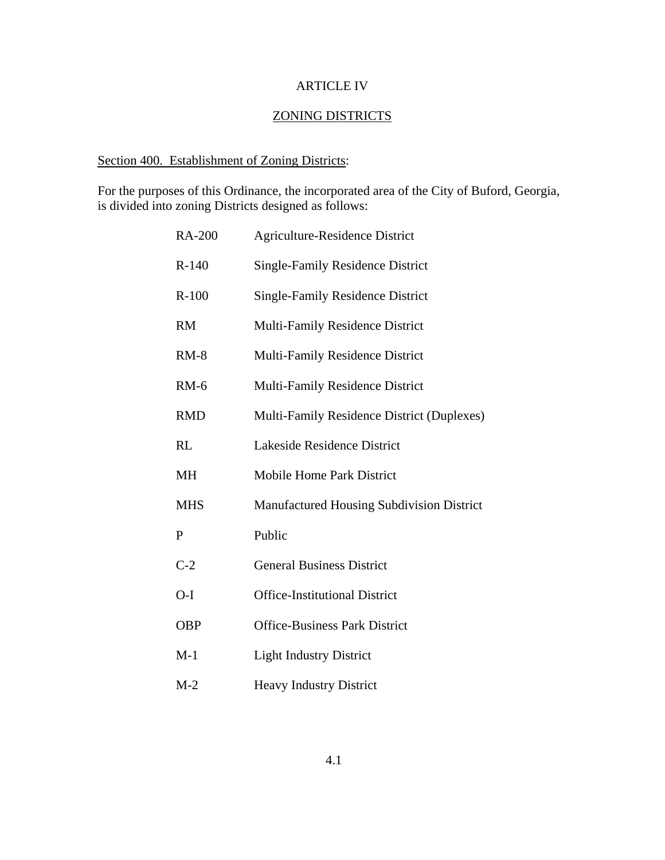### ARTICLE IV

# ZONING DISTRICTS

# Section 400. Establishment of Zoning Districts:

For the purposes of this Ordinance, the incorporated area of the City of Buford, Georgia, is divided into zoning Districts designed as follows:

| <b>RA-200</b> | <b>Agriculture-Residence District</b>      |
|---------------|--------------------------------------------|
| $R-140$       | <b>Single-Family Residence District</b>    |
| $R-100$       | <b>Single-Family Residence District</b>    |
| <b>RM</b>     | <b>Multi-Family Residence District</b>     |
| $RM-8$        | Multi-Family Residence District            |
| $RM-6$        | <b>Multi-Family Residence District</b>     |
| <b>RMD</b>    | Multi-Family Residence District (Duplexes) |
| RL            | Lakeside Residence District                |
| <b>MH</b>     | <b>Mobile Home Park District</b>           |
| <b>MHS</b>    | Manufactured Housing Subdivision District  |
| P             | Public                                     |
| $C-2$         | <b>General Business District</b>           |
| $O-I$         | <b>Office-Institutional District</b>       |
| <b>OBP</b>    | <b>Office-Business Park District</b>       |
| $M-1$         | <b>Light Industry District</b>             |
| $M-2$         | <b>Heavy Industry District</b>             |